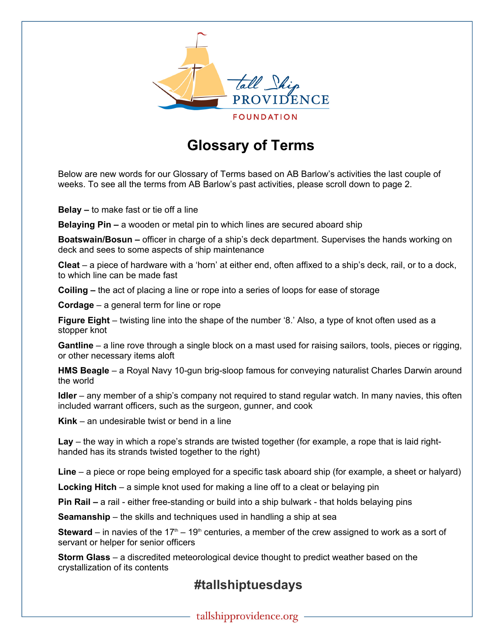

## **Glossary of Terms**

Below are new words for our Glossary of Terms based on AB Barlow's activities the last couple of weeks. To see all the terms from AB Barlow's past activities, please scroll down to page 2.

**Belay –** to make fast or tie off a line

**Belaying Pin –** a wooden or metal pin to which lines are secured aboard ship

**Boatswain/Bosun –** officer in charge of a ship's deck department. Supervises the hands working on deck and sees to some aspects of ship maintenance

**Cleat** – a piece of hardware with a 'horn' at either end, often affixed to a ship's deck, rail, or to a dock, to which line can be made fast

**Coiling –** the act of placing a line or rope into a series of loops for ease of storage

**Cordage** – a general term for line or rope

**Figure Eight** – twisting line into the shape of the number '8.' Also, a type of knot often used as a stopper knot

**Gantline** – a line rove through a single block on a mast used for raising sailors, tools, pieces or rigging, or other necessary items aloft

**HMS Beagle** – a Royal Navy 10-gun brig-sloop famous for conveying naturalist Charles Darwin around the world

**Idler** – any member of a ship's company not required to stand regular watch. In many navies, this often included warrant officers, such as the surgeon, gunner, and cook

**Kink** – an undesirable twist or bend in a line

**Lay** – the way in which a rope's strands are twisted together (for example, a rope that is laid righthanded has its strands twisted together to the right)

**Line** – a piece or rope being employed for a specific task aboard ship (for example, a sheet or halyard)

**Locking Hitch** – a simple knot used for making a line off to a cleat or belaying pin

**Pin Rail –** a rail - either free-standing or build into a ship bulwark - that holds belaying pins

**Seamanship** – the skills and techniques used in handling a ship at sea

**Steward** – in navies of the 17<sup>th</sup> – 19<sup>th</sup> centuries, a member of the crew assigned to work as a sort of servant or helper for senior officers

**Storm Glass** – a discredited meteorological device thought to predict weather based on the crystallization of its contents

## **#tallshiptuesdays**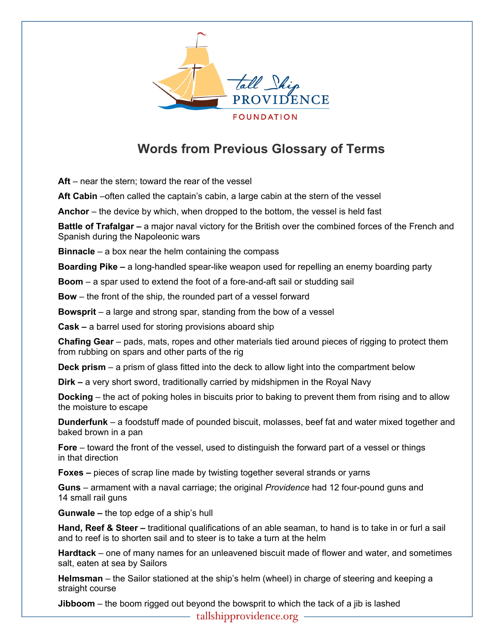

## **Words from Previous Glossary of Terms**

 **Aft** – near the stern; toward the rear of the vessel

**Aft Cabin** –often called the captain's cabin, a large cabin at the stern of the vessel

**Anchor** – the device by which, when dropped to the bottom, the vessel is held fast

**Battle of Trafalgar –** a major naval victory for the British over the combined forces of the French and Spanish during the Napoleonic wars

**Binnacle** – a box near the helm containing the compass

**Boarding Pike –** a long-handled spear-like weapon used for repelling an enemy boarding party

**Boom** – a spar used to extend the foot of a fore-and-aft sail or studding sail

**Bow** – the front of the ship, the rounded part of a vessel forward

**Bowsprit** – a large and strong spar, standing from the bow of a vessel

**Cask –** a barrel used for storing provisions aboard ship

**Chafing Gear** – pads, mats, ropes and other materials tied around pieces of rigging to protect them from rubbing on spars and other parts of the rig

**Deck prism** – a prism of glass fitted into the deck to allow light into the compartment below

**Dirk – a** very short sword, traditionally carried by midshipmen in the Royal Navy

**Docking** – the act of poking holes in biscuits prior to baking to prevent them from rising and to allow the moisture to escape

**Dunderfunk** – a foodstuff made of pounded biscuit, molasses, beef fat and water mixed together and baked brown in a pan

**Fore** – toward the front of the vessel, used to distinguish the forward part of a vessel or things in that direction

**Foxes –** pieces of scrap line made by twisting together several strands or yarns

**Guns** – armament with a naval carriage; the original *Providence* had 12 four-pound guns and 14 small rail guns

**Gunwale –** the top edge of a ship's hull

**Hand, Reef & Steer –** traditional qualifications of an able seaman, to hand is to take in or furl a sail and to reef is to shorten sail and to steer is to take a turn at the helm

**Hardtack** – one of many names for an unleavened biscuit made of flower and water, and sometimes salt, eaten at sea by Sailors

**Helmsman** – the Sailor stationed at the ship's helm (wheel) in charge of steering and keeping a straight course

**Jibboom** – the boom rigged out beyond the bowsprit to which the tack of a jib is lashed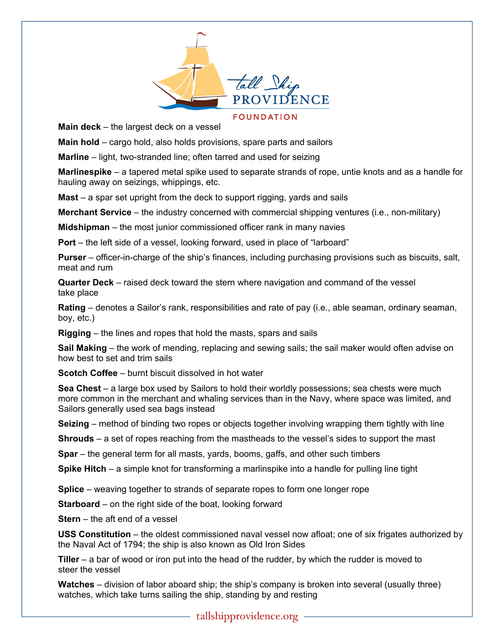

**Main deck** – the largest deck on a vessel

**Main hold** – cargo hold, also holds provisions, spare parts and sailors

**Marline** – light, two-stranded line; often tarred and used for seizing

**Marlinespike** – a tapered metal spike used to separate strands of rope, untie knots and as a handle for hauling away on seizings, whippings, etc.

**Mast** – a spar set upright from the deck to support rigging, yards and sails

**Merchant Service** – the industry concerned with commercial shipping ventures (i.e., non-military)

**Midshipman** – the most junior commissioned officer rank in many navies

**Port** – the left side of a vessel, looking forward, used in place of "larboard"

**Purser** – officer-in-charge of the ship's finances, including purchasing provisions such as biscuits, salt, meat and rum

**Quarter Deck** – raised deck toward the stern where navigation and command of the vessel take place

**Rating** – denotes a Sailor's rank, responsibilities and rate of pay (i.e., able seaman, ordinary seaman, boy, etc.)

**Rigging** – the lines and ropes that hold the masts, spars and sails

**Sail Making** – the work of mending, replacing and sewing sails; the sail maker would often advise on how best to set and trim sails

**Scotch Coffee** – burnt biscuit dissolved in hot water

**Sea Chest** – a large box used by Sailors to hold their worldly possessions; sea chests were much more common in the merchant and whaling services than in the Navy, where space was limited, and Sailors generally used sea bags instead

**Seizing** – method of binding two ropes or objects together involving wrapping them tightly with line

**Shrouds** – a set of ropes reaching from the mastheads to the vessel's sides to support the mast

**Spar** – the general term for all masts, yards, booms, gaffs, and other such timbers

**Spike Hitch** – a simple knot for transforming a marlinspike into a handle for pulling line tight

**Splice** – weaving together to strands of separate ropes to form one longer rope

**Starboard** – on the right side of the boat, looking forward

**Stern** – the aft end of a vessel

**USS Constitution** – the oldest commissioned naval vessel now afloat; one of six frigates authorized by the Naval Act of 1794; the ship is also known as Old Iron Sides

**Tiller** – a bar of wood or iron put into the head of the rudder, by which the rudder is moved to steer the vessel

**Watches** – division of labor aboard ship; the ship's company is broken into several (usually three) watches, which take turns sailing the ship, standing by and resting